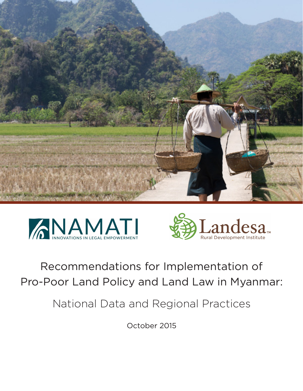





# Recommendations for Implementation of Pro-Poor Land Policy and Land Law in Myanmar:

National Data and Regional Practices

October 2015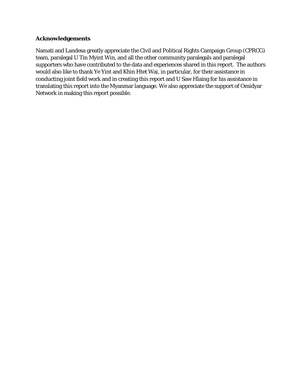#### **Acknowledgements**

Namati and Landesa greatly appreciate the Civil and Political Rights Campaign Group (CPRCG) team, paralegal U Tin Myint Win, and all the other community paralegals and paralegal supporters who have contributed to the data and experiences shared in this report. The authors would also like to thank Ye Yint and Khin Htet Wai, in particular, for their assistance in conducting joint field work and in creating this report and U Saw Hlaing for his assistance in translating this report into the Myanmar language. We also appreciate the support of Omidyar Network in making this report possible.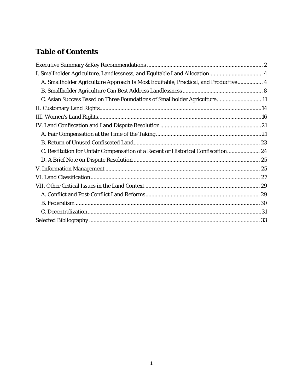# **Table of Contents**

| I. Smallholder Agriculture, Landlessness, and Equitable Land Allocation 4          |
|------------------------------------------------------------------------------------|
| A. Smallholder Agriculture Approach Is Most Equitable, Practical, and Productive 4 |
|                                                                                    |
| C. Asian Success Based on Three Foundations of Smallholder Agriculture 11          |
|                                                                                    |
|                                                                                    |
|                                                                                    |
|                                                                                    |
|                                                                                    |
| C. Restitution for Unfair Compensation of a Recent or Historical Confiscation 24   |
|                                                                                    |
|                                                                                    |
|                                                                                    |
|                                                                                    |
|                                                                                    |
|                                                                                    |
|                                                                                    |
|                                                                                    |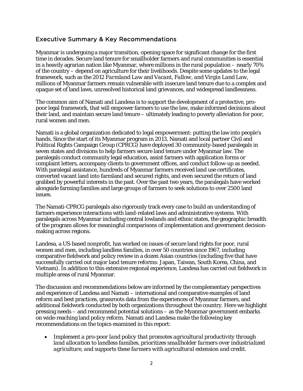# <span id="page-3-0"></span>Executive Summary & Key Recommendations

Myanmar is undergoing a major transition, opening space for significant change for the first time in decades. Secure land tenure for smallholder farmers and rural communities is essential in a heavily agrarian nation like Myanmar, where millions in the rural population – nearly 70% of the country – depend on agriculture for their livelihoods. Despite some updates to the legal framework, such as the 2012 *Farmland Law* and *Vacant, Fallow, and Virgin Land Law*, millions of Myanmar farmers remain vulnerable with insecure land tenure due to a complex and opaque set of land laws, unresolved historical land grievances, and widespread landlessness.

The common aim of Namati and Landesa is to support the development of a protective, propoor legal framework, that will empower farmers to use the law, make informed decisions about their land, and maintain secure land tenure – ultimately leading to poverty alleviation for poor, rural women and men.

Namati is a global organization dedicated to legal empowerment: putting the law into people's hands. Since the start of its Myanmar program in 2013, Namati and local partner Civil and Political Rights Campaign Group (CPRCG) have deployed 30 community-based paralegals in seven states and divisions to help farmers secure land tenure under Myanmar law. The paralegals conduct community legal education, assist farmers with application forms or complaint letters, accompany clients to government offices, and conduct follow-up as needed. With paralegal assistance, hundreds of Myanmar farmers received land use certificates, converted vacant land into farmland and secured rights, and even secured the return of land grabbed by powerful interests in the past. Over the past two years, the paralegals have worked alongside farming families and large groups of farmers to seek solutions to over 2500 land issues.

The Namati-CPRCG paralegals also rigorously track every case to build an understanding of farmers experience interactions with land-related laws and administrative systems. With paralegals across Myanmar including central lowlands and ethnic states, the geographic breadth of the program allows for meaningful comparisons of implementation and government decisionmaking across regions.

Landesa, a US-based nonprofit, has worked on issues of secure land rights for poor, rural women and men, including landless families, in over 50 countries since 1967, including comparative fieldwork and policy review in a dozen Asian countries (including five that have successfully carried out major land tenure reforms: Japan, Taiwan, South Korea, China, and Vietnam). In addition to this extensive regional experience, Landesa has carried out fieldwork in multiple areas of rural Myanmar.

The discussion and recommendations below are informed by the complementary perspectives and experience of Landesa and Namati – international and comparative examples of land reform and best practices, grassroots data from the experiences of Myanmar farmers, and additional fieldwork conducted by both organizations throughout the country. Here we highlight pressing needs – and recommend potential solutions – as the Myanmar government embarks on wide-reaching land policy reform. Namati and Landesa make the following key recommendations on the topics examined in this report:

• *Implement a pro-poor land policy that promotes agricultural productivity through land allocation to landless families, prioritizes smallholder farmers over industrialized agriculture, and supports these farmers with agricultural extension and credit.*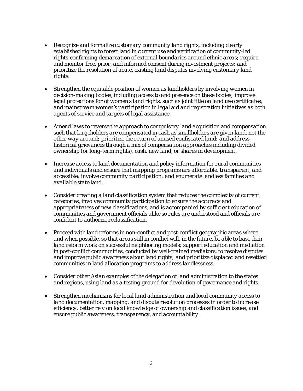- *Recognize and formalize customary community land rights, including clearly established rights to forest land in current use and verification of community-led rights-confirming demarcation of external boundaries around ethnic areas; require and monitor free, prior, and informed consent during investment projects; and prioritize the resolution of acute, existing land disputes involving customary land rights.*
- *Strengthen the equitable position of women as landholders by involving women in decision-making bodies, including access to and presence on these bodies; improve legal protections for of women's land rights, such as joint title on land use certificates; and mainstream women's participation in legal aid and registration initiatives as both agents of service and targets of legal assistance.*
- *Amend laws to reverse the approach to compulsory land acquisition and compensation such that largeholders are compensated in cash as smallholders are given land, not the other way around; prioritize the return of unused confiscated land; and address historical grievances through a mix of compensation approaches including divided ownership (or long-term rights), cash, new land, or shares in development.*
- *Increase access to land documentation and policy information for rural communities and individuals and ensure that mapping programs are affordable, transparent, and accessible; involve community participation; and enumerate landless families and available state land.*
- *Consider creating a land classification system that reduces the complexity of current categories, involves community participation to ensure the accuracy and appropriateness of new classifications, and is accompanied by sufficient education of communities and government officials alike so rules are understood and officials are confident to authorize reclassification.*
- *Proceed with land reforms in non-conflict and post-conflict geographic areas where and when possible, so that areas still in conflict will, in the future, be able to base their land reform work on successful neighboring models; support education and mediation in post-conflict communities, conducted by well-trained mediators, to resolve disputes and improve public awareness about land rights; and prioritize displaced and resettled communities in land allocation programs to address landlessness.*
- *Consider other Asian examples of the delegation of land administration to the states and regions, using land as a testing ground for devolution of governance and rights.*
- *Strengthen mechanisms for local land administration and local community access to land documentation, mapping, and dispute resolution processes in order to increase efficiency, better rely on local knowledge of ownership and classification issues, and ensure public awareness, transparency, and accountability.*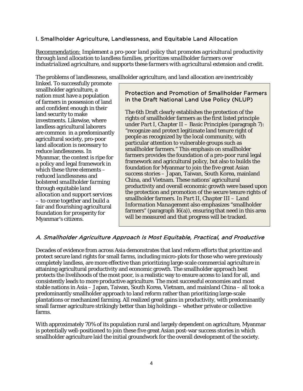# <span id="page-5-0"></span>I. Smallholder Agriculture, Landlessness, and Equitable Land Allocation

*Recommendation: Implement a pro-poor land policy that promotes agricultural productivity through land allocation to landless families, prioritizes smallholder farmers over industrialized agriculture, and supports these farmers with agricultural extension and credit.* 

The problems of landlessness, smallholder agriculture, and land allocation are inextricably

linked. To successfully promote smallholder agriculture, a nation must have a population of farmers in possession of land and confident enough in their land security to make investments. Likewise, where landless agricultural laborers are common in a predominantly agricultural society, pro-poor land allocation is necessary to reduce landlessness. In Myanmar, the context is ripe for a policy and legal framework in which these three elements – *reduced landlessness* and bolstered *smallholder farming* through equitable *land allocation and support services* – to come together and build a fair and flourishing agricultural foundation for prosperity for Myanmar's citizens.

# Protection and Promotion of Smallholder Farmers in the Draft National Land Use Policy (NLUP)

The 6th Draft clearly establishes the protection of the rights of smallholder farmers as the first listed principle under *Part I, Chapter II – Basic Principles* (paragraph 7): "recognize and protect legitimate land tenure right of people as recognized by the local community, with particular attention to vulnerable groups such as smallholder farmers." This emphasis on smallholder farmers provides the foundation of a pro-poor rural legal framework and agricultural policy, but also to builds the foundation for Myanmar to join the five great Asian success stories – Japan, Taiwan, South Korea, mainland China, and Vietnam. These nations' agricultural productivity and overall economic growth were based upon the protection and promotion of the secure tenure rights of smallholder farmers*.* In *Part II, Chapter III – Land Information Management* also emphasizes "smallholder farmers" (paragraph 16(a)), ensuring that need in this area will be measured and that progress will be tracked.

# <span id="page-5-1"></span>A. Smallholder Agriculture Approach Is Most Equitable, Practical, and Productive

Decades of evidence from across Asia demonstrates that land reform efforts that prioritize and protect secure land rights for small farms, including micro-plots for those who were previously completely landless, are more effective than prioritizing large-scale commercial agriculture in attaining agricultural productivity and economic growth. The smallholder approach best protects the livelihoods of the most poor, is a realistic way to ensure access to land for all, and consistently leads to more productive agriculture. The most successful economies and most stable nations in Asia – Japan, Taiwan, South Korea, Vietnam, and mainland China – all took a predominantly smallholder approach to land reform rather than prioritizing large-scale plantations or mechanized farming. All realized great gains in productivity, with predominantly small farmer agriculture strikingly better than big holdings – whether private or collective farms.

With approximately 70% of its population rural and largely dependent on agriculture, Myanmar is potentially well-positioned to join these five great Asian post-war success stories in which smallholder agriculture laid the initial groundwork for the overall development of the society.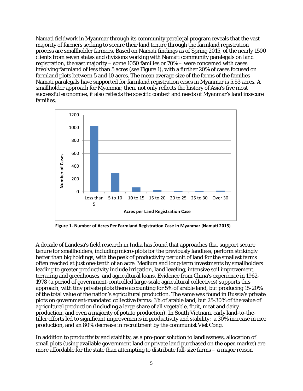Namati fieldwork in Myanmar through its community paralegal program reveals that the vast majority of farmers seeking to secure their land tenure through the farmland registration process are smallholder farmers. Based on Namati findings as of Spring 2015, of the nearly 1500 clients from seven states and divisions working with Namati community paralegals on land registration, the vast majority – some 1050 families or 70% – were concerned with cases involving farmland of less than 5 acres (see [Figure 1\)](#page-6-0), with a further 20% of cases focused on farmland plots between 5 and 10 acres. The mean average size of the farms of the families Namati paralegals have supported for farmland registration cases in Myanmar is 5.53 acres. A smallholder approach for Myanmar, then, not only reflects the history of Asia's five most successful economies, it also reflects the specific context and needs of Myanmar's land insecure families.



<span id="page-6-0"></span>**Figure 1- Number of Acres Per Farmland Registration Case in Myanmar (Namati 2015)**

A decade of Landesa's field research in India has found that approaches that support secure tenure for smallholders, including micro-plots for the previously landless, perform strikingly better than big holdings, with the peak of productivity per unit of land for the smallest farms often reached at just one-tenth of an acre. Medium and long-term investments by smallholders leading to greater productivity include irrigation, land leveling, intensive soil improvement, terracing and greenhouses, and agricultural loans. Evidence from China's experience in 1962- 1978 (a period of government-controlled large-scale agricultural collectives) supports this approach, with tiny private plots there accounting for 5% of arable land, but producing 15-20% of the total value of the nation's agricultural production. The same was found in Russia's private plots on government-mandated collective farms: 3% of arable land, but 25-30% of the value of agricultural production (including a large share of all vegetable, fruit, meat and dairy production, and even a majority of potato production). In South Vietnam, early land-to-thetiller efforts led to significant improvements in productivity and stability: a 30% increase in rice production, and an 80% decrease in recruitment by the communist Viet Cong.

In addition to productivity and stability, as a pro-poor solution to landlessness, allocation of small plots (using available government land or private land purchased on the open market) are more affordable for the state than attempting to distribute full-size farms – a major reason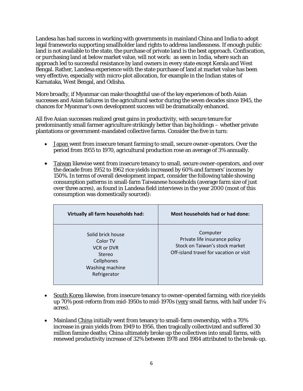Landesa has had success in working with governments in mainland China and India to adopt legal frameworks supporting smallholder land rights to address landlessness. If enough public land is not available to the state, the purchase of private land is the best approach. Confiscation, or purchasing land at below market value, will not work: as seen in India, where such an approach led to successful resistance by land owners in every state except Kerala and West Bengal. Rather, Landesa experience with the state purchase of land at market value has been very effective, especially with micro-plot allocation, for example in the Indian states of Karnataka, West Bengal, and Odisha.

More broadly, if Myanmar can make thoughtful use of the key experiences of both Asian successes and Asian failures in the agricultural sector during the seven decades since 1945, the chances for Myanmar's own development success will be dramatically enhanced.

All five Asian successes realized great gains in productivity, with secure tenure for predominantly small farmer agriculture strikingly better than big holdings – whether private plantations or government-mandated collective farms. Consider the five in turn:

- Japan went from insecure tenant farming to small, secure owner-operators. Over the period from 1955 to 1970, agricultural production rose an average of 3% annually.
- Taiwan likewise went from insecure tenancy to small, secure owner-operators, and over the decade from 1952 to 1962 rice yields increased by 60% and farmers' incomes by 150%. In terms of overall development impact, consider the following table showing consumption patterns in small-farm Taiwanese households (average farm size of just over three acres), as found in Landesa field interviews in the year 2000 (most of this consumption was domestically sourced):

| Virtually all farm households had:                                                                            | Most households had or had done:                                                                                       |
|---------------------------------------------------------------------------------------------------------------|------------------------------------------------------------------------------------------------------------------------|
| Solid brick house<br>Color TV<br><b>VCR or DVR</b><br>Stereo<br>Cellphones<br>Washing machine<br>Refrigerator | Computer<br>Private life insurance policy<br>Stock on Taiwan's stock market<br>Off-island travel for vacation or visit |

- South Korea likewise, from insecure tenancy to owner-operated farming, with rice yields up 70% post-reform from mid-1950s to mid-1970s (very small farms, with half under 1¼ acres).
- Mainland China initially went from tenancy to small-farm ownership, with a 70% increase in grain yields from 1949 to 1956, then tragically collectivized and suffered 30 million famine deaths; China ultimately broke up the collectives into small farms, with renewed productivity increase of 32% between 1978 and 1984 attributed to the break-up.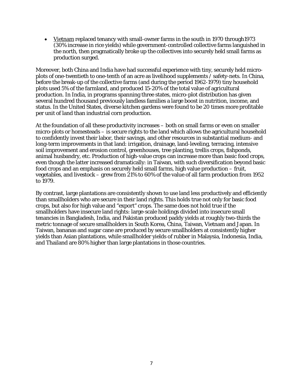• Vietnam replaced tenancy with small-owner farms in the south in 1970 through 1973 (30% increase in rice yields) while government-controlled collective farms languished in the north, then pragmatically broke up the collectives into securely held small farms as production surged.

Moreover, both China and India have had successful experience with tiny, securely held microplots of one-twentieth to one-tenth of an acre as livelihood supplements / safety-nets. In China, before the break-up of the collective farms (and during the period 1962-1979) tiny household plots used 5% of the farmland, and produced 15-20% of the total value of agricultural production. In India, in programs spanning three states, micro-plot distribution has given several hundred thousand previously landless families a large boost in nutrition, income, and status. In the United States, diverse kitchen gardens were found to be 20 times more profitable per unit of land than industrial corn production.

At the foundation of all these productivity increases – both on small farms or even on smaller micro-plots or homesteads – is secure rights to the land which allows the agricultural household to confidently invest their labor, their savings, and other resources in substantial medium- and long-term improvements in that land: irrigation, drainage, land-leveling, terracing, intensive soil improvement and erosion control, greenhouses, tree planting, trellis crops, fishponds, animal husbandry, etc. Production of high-value crops can increase more than basic food crops, even though the latter increased dramatically: in Taiwan, with such diversification beyond basic food crops and an emphasis on securely held small farms, high value production – fruit, vegetables, and livestock – grew from 21% to 60% of the value of all farm production from 1952 to 1979.

By contrast, large plantations are consistently shown to use land less productively and efficiently than smallholders who are secure in their land rights. This holds true not only for basic food crops, but also for high value and "export" crops. The same does not hold true if the smallholders have insecure land rights: large-scale holdings divided into insecure small tenancies in Bangladesh, India, and Pakistan produced paddy yields at roughly two-thirds the metric tonnage of secure smallholders in South Korea, China, Taiwan, Vietnam and Japan. In Taiwan, bananas and sugar cane are produced by secure smallholders at consistently higher yields than Asian plantations, while smallholder yields of rubber in Malaysia, Indonesia, India, and Thailand are 80% higher than large plantations in those countries.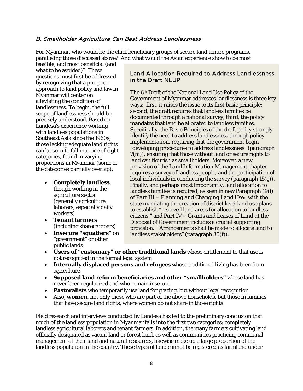#### <span id="page-9-0"></span>B. Smallholder Agriculture Can Best Address Landlessness

For Myanmar, who would be the chief beneficiary groups of secure land tenure programs, paralleling those discussed above? And what would the Asian experience show to be most

feasible, and most beneficial (and what to be avoided)? These questions must first be addressed by recognizing that a pro-poor approach to land policy and law in Myanmar will center on alleviating the condition of landlessness. To begin, the full scope of landlessness should be precisely understood. Based on Landesa's experience working with landless populations in Southeast Asia since the 1960s, those lacking adequate land rights can be seen to fall into one of eight categories, found in varying proportions in Myanmar (some of the categories partially overlap):

- **Completely landless**, though working in the agriculture sector (generally agriculture laborers, especially daily workers)
- **Tenant farmers** (including sharecroppers)
- **Insecure "squatters"** on "government" or other public lands

#### Land Allocation Required to Address Landlessness in the Draft NLUP

The 6th Draft of the National Land Use Policy of the Government of Myanmar addresses landlessness is three key ways: first, it raises the issue to its first basic principle; second, the draft requires that landless families be documented through a national survey; third, the policy mandates that land be allocated to landless families. Specifically, the *Basic Principles* of the draft policy strongly identify the need to address landlessness through policy implementation, requiring that the government begin "developing procedures to address landlessness" (paragraph 7(m)), ensuring that those without land or secure rights to land can flourish as smallholders. Moreover, a new provision of the *Land Information Management* chapter requires a survey of landless people, and the participation of local individuals in conducting the survey (paragraph 15(g)). Finally, and perhaps most importantly, land allocation to landless families is required, as seen in new Paragraph 19(i) of *Part III – Planning and Changing Land Use*: with the state mandating the creation of district level land use plans to establish "reserved land areas for allocation to landless citizens," and *Part IV – Grants and Leases of Land at the Disposal of Government* includes a crucial supporting provision: "Arrangements shall be made to allocate land to landless stakeholders" (paragraph 30(f)).

- **Users of "customary" or other traditional lands** whose entitlement to that use is not recognized in the formal legal system
- **Internally displaced persons and refugees** whose traditional living has been from agriculture
- **Supposed land reform beneficiaries and other "smallholders"** whose land has never been regularized and who remain insecure
- **Pastoralists** who temporarily use land for grazing, but without legal recognition
- Also, **women**, not only those who are part of the above households, but those in families that have secure land rights, where women do not share in those rights

Field research and interviews conducted by Landesa has led to the preliminary conclusion that much of the landless population in Myanmar falls into the first two categories: completely landless agricultural laborers and tenant farmers. In addition, the many farmers cultivating land officially designated as vacant land or forest land, as well as communities practicing communal management of their land and natural resources, likewise make up a large proportion of the landless population in the country. These types of land cannot be registered as farmland under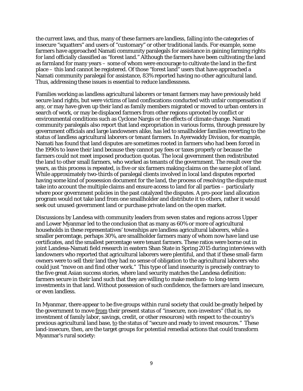the current laws, and thus, many of these farmers are landless, falling into the categories of insecure "squatters" and users of "customary" or other traditional lands. For example, some farmers have approached Namati community paralegals for assistance in gaining farming rights for land officially classified as "forest land." Although the farmers have been cultivating the land as farmland for many years – some of whom were encourage to cultivate the land in the first place – this land cannot be registered. Of those "forest land" users that have approached a Namati community paralegal for assistance, 83% reported having no other agricultural land. Thus, addressing these issues is essential to reduce landlessness.

Families working as landless agricultural laborers or tenant farmers may have previously held secure land rights, but were victims of land confiscations conducted with unfair compensation if any, or may have given up their land as family members migrated or moved to urban centers in search of work, or may be displaced farmers from other regions uprooted by conflict or environmental conditions such as Cyclone Nargis or the effects of climate change. Namati community paralegals also report that land expropriation in various forms, through pressure by government officials and large landowners alike, has led to smallholder families reverting to the status of landless agricultural laborers or tenant farmers. In Ayerwaddy Division, for example, Namati has found that land disputes are sometimes rooted in farmers who had been forced in the 1990s to leave their land because they cannot pay fees or taxes properly or because the farmers could not meet imposed production quotas. The local government then redistributed the land to other small farmers, who worked as tenants of the government. The result over the years, as this process is repeated, is five or six farmers making claims on the same plot of land. While approximately two-thirds of paralegal clients involved in local land disputes reported having some kind of possession document for the land, the process of resolving the dispute must take into account the multiple claims and ensure access to land for all parties – particularly where poor government policies in the past catalyzed the disputes. A pro-poor land allocation program would not take land from one smallholder and distribute it to others, rather it would seek out unused government land or purchase private land on the open market.

Discussions by Landesa with community leaders from seven states and regions across Upper and Lower Myanmar led to the conclusion that as many as 60% or more of agricultural households in these representatives' townships are landless agricultural laborers, while a smaller percentage, perhaps 30%, are smallholder farmers many of whom now have land use certificates, and the smallest percentage were tenant farmers. These ratios were borne out in joint Landesa-Namati field research in eastern Shan State in Spring 2015 during interviews with landowners who reported that agricultural laborers were plentiful, and that if these small-farm owners were to sell their land they had no sense of obligation to the agricultural laborers who could just "move on and find other work." This type of land insecurity is precisely contrary to the five great Asian success stories, where land security matches the Landesa definition: farmers secure in their land such that they are willing to make medium- to long-term investments in that land. Without possession of such confidence, the farmers are land insecure, or even landless.

In Myanmar, there appear to be five groups within rural society that could be greatly helped by the government to move from their present status of "insecure, non-investors" (that is, no investment of family labor, savings, credit, or other resources) with respect to the country's precious agricultural land base, to the status of "secure and ready to invest resources." These land-insecure, then, are the target groups for potential remedial actions that could transform Myanmar's rural society: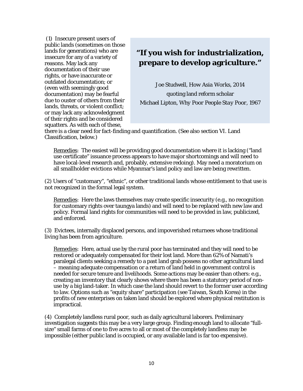(1) Insecure present users of public lands (sometimes on those lands for generations) who are insecure for any of a variety of reasons. May lack any documentation of their use rights, or have inaccurate or outdated documentation; or (even with seemingly good documentation) may be fearful due to ouster of others from their lands, threats, or violent conflict; or may lack any acknowledgment of their rights and be considered squatters. As with each of these,

# **"If you wish for industrialization, prepare to develop agriculture."**

Joe Studwell, *How Asia Works*, 2014 quoting land reform scholar Michael Lipton, *Why Poor People Stay Poor*, 1967

there is a clear need for fact-finding and quantification. (See also section [VI. Land](#page-28-0)  [Classification,](#page-28-0) below.)

Remedies: The easiest will be providing good documentation where it is lacking ("land use certificate" issuance process appears to have major shortcomings and will need to have local-level research and, probably, extensive redoing). May need a moratorium on all smallholder evictions while Myanmar's land policy and law are being rewritten.

(2) Users of "customary", "ethnic", or other traditional lands whose entitlement to that use is not recognized in the formal legal system.

Remedies: Here the laws themselves may create specific insecurity (e.g., no recognition for customary rights over taungya lands) and will need to be replaced with new law and policy. Formal land rights for communities will need to be provided in law, publicized, and enforced.

(3) Evictees, internally displaced persons, and impoverished returnees whose traditional living has been from agriculture.

Remedies: Here, actual use by the rural poor has terminated and they will need to be restored or adequately compensated for their lost land. More than 62% of Namati's paralegal clients seeking a remedy to a past land grab possess no other agricultural land – meaning adequate compensation or a return of land held in government control is needed for secure tenure and livelihoods. Some actions may be easier than others: e.g., creating an inventory that clearly shows where there has been a statutory period of nonuse by a big land-taker. In which case the land should revert to the former user according to law. Options such as "equity share" participation (see Taiwan, South Korea) in the profits of new enterprises on taken land should be explored where physical restitution is impractical.

(4) Completely landless rural poor, such as daily agricultural laborers. Preliminary investigation suggests this may be a very large group. Finding enough land to allocate "fullsize" small farms of one to five acres to all or most of the completely landless may be impossible (either public land is occupied, or any available land is far too expensive).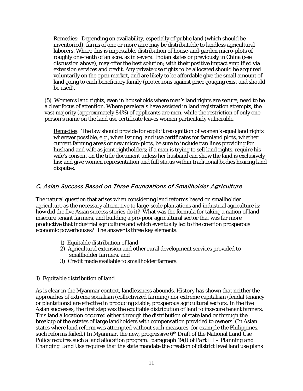Remedies: Depending on availability, especially of public land (which should be inventoried), farms of one or more acre may be distributable to landless agricultural laborers. Where this is impossible, distribution of house-and-garden micro-plots of roughly one-tenth of an acre, as in several Indian states or previously in China (see discussion above), may offer the best solution; with their positive impact amplified via extension services and credit. Any private use rights to be allocated should be acquired voluntarily on the open market, and are likely to be affordable give the small amount of land going to each beneficiary family (protections against price gouging exist and should be used).

(5) Women's land rights, even in households where men's land rights are secure, need to be a clear focus of attention. Where paralegals have assisted in land registration attempts, the vast majority (approximately 84%) of applicants are men, while the restriction of only one person's name on the land use certificate leaves women particularly vulnerable.

Remedies: The law should provide for explicit recognition of women's equal land rights wherever possible, e.g., when issuing land use certificates for farmland plots, whether current farming areas or new micro-plots, be sure to include two lines providing for husband and wife as joint rightholders; if a man is trying to sell land rights, require his wife's consent on the title document unless her husband can show the land is exclusively his; and give women representation and full status within traditional bodies hearing land disputes.

#### <span id="page-12-0"></span>C. Asian Success Based on Three Foundations of Smallholder Agriculture

The natural question that arises when considering land reforms based on smallholder agriculture as the necessary alternative to large-scale plantations and industrial agriculture is: how did the five Asian success stories do it? What was the formula for taking a nation of land insecure tenant farmers, and building a pro-poor agricultural sector that was far more productive that industrial agriculture and which eventually led to the creation prosperous economic powerhouses? The answer is three key elements:

- 1) Equitable distribution of land,
- 2) Agricultural extension and other rural development services provided to smallholder farmers, and
- 3) Credit made available to smallholder farmers.

#### *1) Equitable distribution of land*

As is clear in the Myanmar context, landlessness abounds. History has shown that neither the approaches of extreme socialism (collectivized farming) nor extreme capitalism (feudal tenancy or plantations) are effective in producing stable, prosperous agricultural sectors. In the five Asian successes, the first step was the equitable distribution of land to insecure tenant farmers. This land allocation occurred either through the distribution of state land or through the breakup of the estates of large landholders with compensation provided to owners. (In Asian states where land reform was attempted without such measures, for example the Philippines, such reforms failed.) In Myanmar, the new, progressive  $6<sup>th</sup>$  Draft of the National Land Use Policy requires such a land allocation program: paragraph 19(i) of *Part III – Planning and Changing Land Use* requires that the state mandate the creation of district level land use plans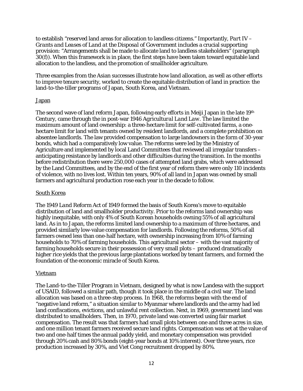to establish "reserved land areas for allocation to landless citizens." Importantly, *Part IV – Grants and Leases of Land at the Disposal of Government* includes a crucial supporting provision: "Arrangements shall be made to allocate land to landless stakeholders" (paragraph 30(f)). When this framework is in place, the first steps have been taken toward equitable land allocation to the landless, and the promotion of smallholder agriculture.

Three examples from the Asian successes illustrate how land allocation, as well as other efforts to improve tenure security, worked to create the equitable distribution of land in practice: the land-to-the-tiller programs of Japan, South Korea, and Vietnam.

#### Japan

The second wave of land reform Japan, following early efforts in Meiji Japan in the late 19th Century, came through the in post-war 1946 *Agricultural Land Law*. The law limited the maximum amount of land ownership: a three-hectare limit for self-cultivated farms, a onehectare limit for land with tenants owned by resident landlords, and a complete prohibition on absentee landlords. The law provided compensation to large landowners in the form of 30-year bonds, which had a comparatively low value. The reforms were led by the Ministry of Agriculture and implemented by local Land Committees that reviewed all irregular transfers – anticipating resistance by landlords and other difficulties during the transition. In the months before redistribution there were 250,000 cases of attempted land grabs, which were addressed by the Land Committees, and by the end of the first year of reform there were only 110 incidents of violence, with no lives lost. Within ten years, 90% of all land in Japan was owned by small farmers and agricultural production rose each year in the decade to follow.

#### South Korea

The 1949 *Land Reform Act* of 1949 formed the basis of South Korea's move to equitable distribution of land and smallholder productivity. Prior to the reforms land ownership was highly inequitable, with only 4% of South Korean households owning 55% of all agricultural land. As in to Japan, the reforms limited land ownership to a maximum of three hectares, and provided similarly low-value compensation for landlords. Following the reforms, 50% of all farmers owned less than one-half hectare, with ownership increasing from 10% of farming households to 70% of farming households. This agricultural sector – with the vast majority of farming households secure in their possession of very small plots – produced dramatically higher rice yields that the previous large plantations worked by tenant farmers, and formed the foundation of the economic miracle of South Korea.

#### Vietnam

The Land-to-the-Tiller Program in Vietnam, designed by what is now Landesa with the support of USAID, followed a similar path, though it took place in the middle of a civil war. The land allocation was based on a three-step process. In 1968, the reforms began with the end of "negative land reform," a situation similar to Myanmar where landlords and the army had led land confiscations, evictions, and unlawful rent collection. Next, in 1969, government land was distributed to smallholders. Then, in 1970, private land was converted using fair market compensation. The result was that farmers had small plots between one and three acres in size, and one million tenant farmers received secure land rights. Compensation was set at the value of two and one-half times the annual paddy yield, and monetary compensation was provided through 20% cash and 80% bonds (eight-year bonds at 10% interest). Over three years, rice production increased by 30%, and Viet Cong recruitment dropped by 80%.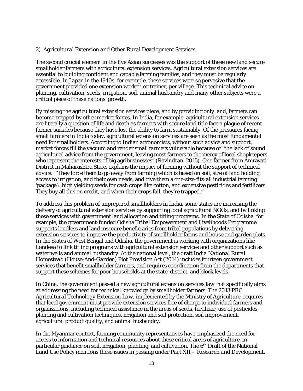#### *2) Agricultural Extension and Other Rural Development Services*

The second crucial element in the five Asian successes was the support of these new land secure smallholder farmers with agricultural extension services. Agricultural extension services are essential to building confident and capable farming families, and they must be regularly accessible. In Japan in the 1940s, for example, these services were so pervasive that the government provided one extension worker, or trainer, per village. This technical advice on planting, cultivation, seeds, irrigation, soil, animal husbandry and many other subjects were a critical piece of these nations' growth.

By missing the agricultural extension services piece, and by providing only land, farmers can become trapped by other market forces. In India, for example, agricultural extension services are literally a question of life and death as farmers with secure land title face a plague of recent farmer suicides because they have lost the ability to farm sustainably. Of the pressures facing small farmers in India today, agricultural extension services are seen as the most fundamental need for smallholders. According to Indian agronomists, without such advice and support, market forces fill the vacuum and render small farmers vulnerable because of "the lack of sound agricultural advice from the government, leaving most farmers to the mercy of local shopkeepers who represent the interests of big agribusinesses" (Ravindran, 2015). One farmer from Amravati District in Maharashtra State, explains the impact of farming without the support of technical advice: "They force them to go away from farming which is based on soil, size of land holding, access to irrigation, and their own needs, and give them a one-size-fits-all industrial farming 'package': high yielding seeds for cash crops like cotton, and expensive pesticides and fertilizers. They buy all this on credit, and when their crops fail, they're trapped."

To address this problem of unprepared smallholders in India, some states are increasing the delivery of agricultural extension services by supporting local agricultural NGOs, and by linking these services with government land allocation and titling programs. In the State of Odisha, for example, the government-funded Odisha Tribal Empowerment and Livelihoods Programme supports landless and land insecure beneficiaries from tribal populations by delivering extension services to improve the productivity of smallholder farms and house and garden plots. In the States of West Bengal and Odisha, the government is working with organizations like Landesa to link titling programs with agricultural extension services and other support such as water wells and animal husbandry. At the national level, the draft *India National Rural Homestead (House-And-Garden) Plot Provision Act* (2014) includes fourteen government services that benefit smallholder farmers, and requires coordination from the departments that support these schemes for poor households at the state, district, and block levels.

In China, the government passed a new agricultural extension services law that specifically aims at addressing the need for technical knowledge by smallholder farmers. The 2013 *PRC Agricultural Technology Extension Law*, implemented by the Ministry of Agriculture, requires that local government must provide extension services free of charge to individual farmers and organizations, including technical assistance in the areas of seeds, fertilizer, use of pesticides, planting and cultivation techniques, irrigation and soil protection, soil improvement, agricultural product quality, and animal husbandry.

In the Myanmar context, farming community representatives have emphasized the need for access to information and technical resources about these critical areas of agriculture, in particular guidance on soil, irrigation, planting, and cultivation. The 6<sup>th</sup> Draft of the National Land Use Policy mentions these issues in passing under *Part XII – Research and Development*,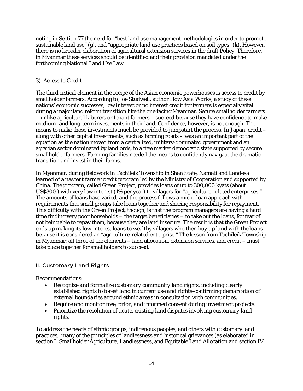noting in Section 77 the need for "best land use management methodologies in order to promote sustainable land use" (g), and "appropriate land use practices based on soil types" (k). However, there is no broader elaboration of agricultural extension services in the draft Policy. Therefore, in Myanmar these services should be identified and their provision mandated under the forthcoming National Land Use Law.

#### *3) Access to Credit*

The third critical element in the recipe of the Asian economic powerhouses is access to credit by smallholder farmers. According to Joe Studwell, author *How Asia Works*, a study of these nations' economic successes, low interest or no interest credit for farmers is especially vital during a major land reform transition like the one facing Myanmar. Secure smallholder farmers – unlike agricultural laborers or tenant farmers – succeed because they have confidence to make medium- and long-term investments in their land. Confidence, however, is not enough. The means to make those investments much be provided to jumpstart the process. In Japan, credit – along with other capital investments, such as farming roads – was an important part of the equation as the nation moved from a centralized, military-dominated government and an agrarian sector dominated by landlords, to a free market democratic state supported by secure smallholder farmers. Farming families needed the means to confidently navigate the dramatic transition and invest in their farms.

In Myanmar, during fieldwork in Tachileik Township in Shan State, Namati and Landesa learned of a nascent farmer credit program led by the Ministry of Cooperation and supported by China. The program, called Green Project, provides loans of up to 300,000 kyats (about US\$300 ) with very low interest (1% per year) to villagers for "agriculture-related enterprises." The amounts of loans have varied, and the process follows a micro-loan approach with requirements that small groups take loans together and sharing responsibility for repayment. This difficulty with the Green Project, though, is that the program managers are having a hard time finding very poor households – the target beneficiaries – to take out the loans, for fear of not being able to repay them, because they are land insecure. The result is that the Green Project ends up making its low-interest loans to wealthy villagers who then *buy up land with the loans* because it is considered an "agriculture-related enterprise." The lesson from Tachileik Township in Myanmar: all three of the elements – land allocation, extension services, and credit – must take place together for smallholders to succeed.

# <span id="page-15-0"></span>II. Customary Land Rights

#### *Recommendations:*

- *Recognize and formalize customary community land rights, including clearly established rights to forest land in current use and rights-confirming demarcation of external boundaries around ethnic areas in consultation with communities.*
- *Require and monitor free, prior, and informed consent during investment projects.*
- *Prioritize the resolution of acute, existing land disputes involving customary land rights.*

To address the needs of ethnic groups, indigenous peoples, and others with customary land practices, many of the principles of landlessness and historical grievances (as elaborated in section [I. Smallholder Agriculture, Landlessness, and Equitable Land Allocation](#page-5-0) and section [IV.](#page-22-0)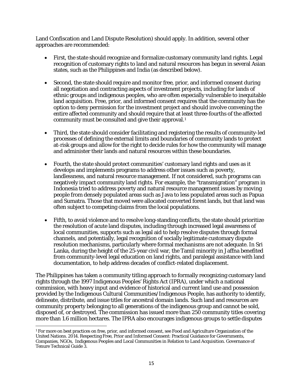[Land Confiscation and Land Dispute Resolution\)](#page-22-0) should apply. In addition, several other approaches are recommended:

- First, the state should recognize and formalize customary community land rights. Legal recognition of customary rights to land and natural resources has begun in several Asian states, such as the Philippines and India (as described below).
- Second, the state should require and monitor free, prior, and informed consent during all negotiation and contracting aspects of investment projects, including for lands of ethnic groups and indigenous peoples, who are often especially vulnerable to inequitable land acquisition. Free, prior, and informed consent requires that the community has the option to deny permission for the investment project and should involve convening the entire affected community and should require that at least three-fourths of the affected community must be consulted and give their approval.[1](#page-16-0)
- Third, the state should consider facilitating and registering the results of community-led processes of defining the external limits and boundaries of community lands to protect at-risk groups and allow for the right to decide rules for how the community will manage and administer their lands and natural resources within these boundaries.
- Fourth, the state should protect communities' customary land rights and uses as it develops and implements programs to address other issues such as poverty, landlessness, and natural resource management. If not considered, such programs can negatively impact community land rights. For example, the "transmigration" program in Indonesia tried to address poverty and natural resource management issues by moving people from densely populated areas such as Java to less populated areas such as Papua and Sumatra. Those that moved were allocated converted forest lands, but that land was often subject to competing claims from the local populations.
- Fifth, to avoid violence and to resolve long-standing conflicts, the state should prioritize the resolution of acute land disputes, including through increased legal awareness of local communities, supports such as legal aid to help resolve disputes through formal channels, and potentially, legal recognition of socially legitimate customary dispute resolution mechanisms, particularly where formal mechanisms are not adequate*.* In Sri Lanka, during the height of the 25-year civil war, the Tamil minority in Jaffna benefited from community-level legal education on land rights, and paralegal assistance with land documentation, to help address decades of conflict-related displacement.

The Philippines has taken a community titling approach to formally recognizing customary land rights through the 1997 *Indigenous Peoples' Rights Act* (IPRA), under which a national commission, with heavy input and evidence of historical and current land use and possession provided by the Indigenous Cultural Communities/Indigenous People, has authority to identify, delineate, distribute, and issue titles for ancestral domain lands. Such land and resources are community property belonging to all generations of the indigenous group and cannot be sold, disposed of, or destroyed. The commission has issued more than 250 community titles covering more than 1.6 million hectares. The IPRA also encourages indigenous groups to settle disputes

<span id="page-16-0"></span> $\overline{\phantom{a}}$ <sup>1</sup> For more on best practices on free, prior, and informed consent, see Food and Agriculture Organization of the United Nations. 2014. Respecting Free, Prior and Informed Consent: Practical Guidance for Governments, Companies, NGOs, Indigenous Peoples and Local Communities in Relation to Land Acquisition. Governance of Tenure Technical Guide 3.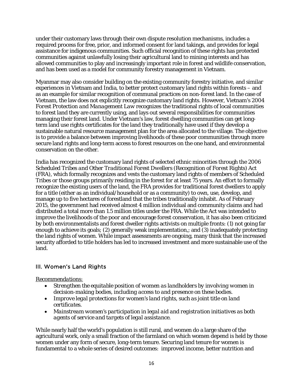under their customary laws through their own dispute resolution mechanisms, includes a required process for free, prior, and informed consent for land takings, and provides for legal assistance for indigenous communities. Such official recognition of these rights has protected communities against unlawfully losing their agricultural land to mining interests and has allowed communities to play and increasingly important role in forest and wildlife conservation, and has been used as a model for community forestry management in Vietnam.

Myanmar may also consider building on the existing community forestry initiative, and similar experiences in Vietnam and India, to better protect customary land rights within forests – and as an example for similar recognition of communal practices on non-forest land. In the case of Vietnam, the law does not explicitly recognize customary land rights. However, Vietnam's 2004 *Forest Protection and Management Law* recognizes the traditional rights of local communities to forest land they are currently using, and lays out several responsibilities for communities managing their forest land. Under Vietnam's law, forest dwelling communities can get longterm land use rights certificates for the land they traditionally have used if they develop a sustainable natural resource management plan for the area allocated to the village. The objective is to provide a balance between improving livelihoods of these poor communities through more secure land rights and long-term access to forest resources on the one hand, and environmental conservation on the other.

India has recognized the customary land rights of selected ethnic minorities through the 2006 *Scheduled Tribes and Other Traditional Forest Dwellers (Recognition of Forest Rights) Act* (FRA), which formally recognizes and vests the customary land rights of members of Scheduled Tribes or those groups primarily residing in the forest for at least 75 years. An effort to formally recognize the existing users of the land, the FRA provides for traditional forest dwellers to apply for a title (either as an individual/household or as a community) to own, use, develop, and manage up to five hectares of forestland that the tribes traditionally inhabit. As of February 2015, the government had received almost 4 million individual and community claims and had distributed a total more than 1.5 million titles under the FRA. While the Act was intended to improve the livelihoods of the poor and encourage forest conservation, it has also been criticized by both environmentalists and forest dweller rights activists on multiple fronts: (1) not going far enough to achieve its goals; (2) generally weak implementation,; and (3) inadequately protecting the land rights of women. While impact assessments are ongoing, many think that the increased security afforded to title holders has led to increased investment and more sustainable use of the land.

# <span id="page-17-0"></span>III. Women's Land Rights

#### *Recommendations:*

- *Strengthen the equitable position of women as landholders by involving women in decision-making bodies, including access to and presence on these bodies.*
- *Improve legal protections for women's land rights, such as joint title on land certificates.*
- *Mainstream women's participation in legal aid and registration initiatives as both agents of service and targets of legal assistance.*

While nearly half the world's population is still rural, and women do a large share of the agricultural work, only a small fraction of the farmland on which women depend is held by those women under any form of secure, long-term tenure. Securing land tenure for women is fundamental to a whole series of desired outcomes: improved income, better nutrition and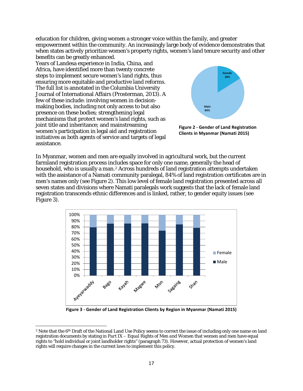education for children, giving women a stronger voice within the family, and greater empowerment within the community. An increasingly large body of evidence demonstrates that when states actively prioritize women's property rights, women's land tenure security and other benefits can be greatly enhanced.

Years of Landesa experience in India, China, and Africa, have identified more than twenty concrete steps to implement secure women's land rights, thus ensuring more equitable and productive land reforms. The full list is annotated in the Columbia University Journal of International Affairs (Prosterman, 2013). A few of these include: involving women in decisionmaking bodies, including not only access to but also presence on these bodies; strengthening legal mechanisms that protect women's land rights, such as joint title and inheritance; and mainstreaming women's participation in legal aid and registration initiatives as both agents of service and targets of legal assistance.

<span id="page-18-1"></span> $\overline{\phantom{a}}$ 



<span id="page-18-0"></span>**Figure 2 - Gender of Land Registration Clients in Myanmar (Namati 2015)**

In Myanmar, women and men are equally involved in agricultural work, but the current farmland registration process includes space for only one name, generally the head of household, who is usually a man.[2](#page-18-2) Across hundreds of land registration attempts undertaken with the assistance of a Namati community paralegal, 84% of land registration certificates are in men's names only (se[e Figure 2\)](#page-18-0). This low level of female land registration presented across all seven states and divisions where Namati paralegals work suggests that the lack of female land registration transcends ethnic differences and is linked, rather, to gender equity issues (see [Figure 3\)](#page-18-1).



**Figure 3 - Gender of Land Registration Clients by Region in Myanmar (Namati 2015)**

<span id="page-18-2"></span><sup>&</sup>lt;sup>2</sup> Note that the 6<sup>th</sup> Draft of the National Land Use Policy seems to correct the issue of including only one name on land registration documents by stating in *Part IX – Equal Rights of Men and Women* that women and men have equal rights to "hold individual or joint landholder rights" (paragraph 73). However, actual protection of women's land rights will require changes in the current laws to implement this policy.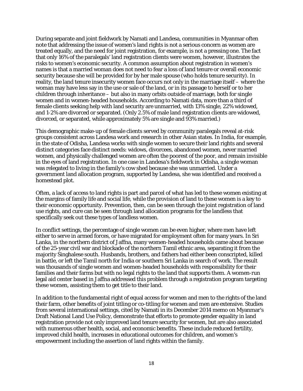During separate and joint fieldwork by Namati and Landesa, communities in Myanmar often note that addressing the issue of women's land rights is not a serious concern as women are treated equally, and the need for joint registration, for example, is not a pressing one. The fact that only 16% of the paralegals' land registration clients were women, however, illustrates the risks to women's economic security. A common assumption about registration in women's names is that a married woman does not need to fear a loss of land tenure or overall economic security because she will be provided for by her male spouse (who holds tenure security). In reality, the land tenure insecurity women face occurs not only in the marriage itself – where the woman may have less say in the use or sale of the land, or in its passage to herself or to her children through inheritance – but also in many orbits outside of marriage, both for single women and in women-headed households. According to Namati data, more than a third of female clients seeking help with land security are unmarried, with 13% single, 22% widowed, and 1-2% are divorced or separated. (Only 2.5% of male land registration clients are widowed, divorced, or separated, while approximately 5% are single and 93% married.)

This demographic make-up of female clients served by community paralegals reveal at-risk groups consistent across Landesa work and research in other Asian states. In India, for example, in the state of Odisha, Landesa works with single women to secure their land rights and several distinct categories face distinct needs: widows, divorcees, abandoned women, never married women, and physically challenged women are often the poorest of the poor, and remain invisible in the eyes of land registration. In one case in Landesa's fieldwork in Odisha, a single woman was relegated to living in the family's cow shed because she was unmarried. Under a government land allocation program, supported by Landesa, she was identified and received a homestead plot.

Often, a lack of access to land rights is part and parcel of what has led to these women existing at the margins of family life and social life, while the provision of land to these women is a key to their economic opportunity. Prevention, then, can be seen through the joint registration of land use rights, and cure can be seen through land allocation programs for the landless that specifically seek out these types of landless women.

In conflict settings, the percentage of single women can be even higher, where men have left either to serve in armed forces, or have migrated for employment often for many years. In Sri Lanka, in the northern district of Jaffna, many women-headed households came about because of the 25-year civil war and blockade of the northern Tamil ethnic area, separating it from the majority Singhalese south. Husbands, brothers, and fathers had either been conscripted, killed in battle, or left the Tamil north for India or southern Sri Lanka in search of work. The result was thousands of single women and women-headed households with responsibility for their families and their farms but with no legal rights to the land that supports them. A women-run legal aid center based in Jaffna addressed this problem through a registration program targeting these women, assisting them to get title to their land.

In addition to the fundamental right of equal access for women and men to the rights of the land their farm, other benefits of joint titling or co-titling for women and men are extensive. Studies from several international settings, cited by Namati in its December 2014 memo on Myanmar's Draft National Land Use Policy, demonstrate that efforts to promote gender equality in land registration provide not only improved land tenure security for women, but are also associated with numerous other health, social, and economic benefits. These include reduced fertility, improved child health, increases in educational outcomes for children, and women's empowerment including the assertion of land rights within the family.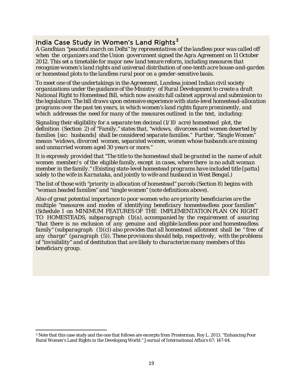# India Case Study in Women's Land Rights<sup>[3](#page-20-0)</sup>

*A Gandhian "peaceful march on Delhi" by representatives of the landless poor was called off when the organizers and the Union government signed the Agra Agreement on 11 October 2012. This set a timetable for major new land tenure reform, including measures that recognize women's land rights and universal distribution of one-tenth acre house-and-garden or homestead plots to the landless rural poor on a gender-sensitive basis.*

*To meet one of the undertakings in the Agreement, Landesa joined Indian civil society organizations under the guidance of the Ministry of Rural Development to create a draft National Right to Homestead Bill, which now awaits full cabinet approval and submission to the legislature. The bill draws upon extensive experience with state-level homestead-allocation programs over the past ten years, in which women's land rights figure prominently, and which addresses the need for many of the measures outlined in the text, including:*

*Signaling their eligibility for a separate ten decimal (1/10 acre) homestead plot, the definition (Section 2) of "Family," states that, "widows, divorcees and women deserted by families [sic: husbands] shall be considered separate families." Further, "Single Women" means "widows, divorced women, separated women, women whose husbands are missing and unmarried women aged 30 years or more."*

*It is expressly provided that "The title to the homestead shall be granted in the name of adult women member/s of the eligible family, except in cases, where there is no adult woman member in the family." (Existing state-level homestead programs have included title [patta] solely to the wife in Karnataka, and jointly to wife and husband in West Bengal.)*

*The list of those with "priority in allocation of homestead" parcels (Section 8) begins with "woman headed families" and "single women" (note definitions above).*

*Also of great potential importance to poor women who are priority beneficiaries are the multiple "measures and modes of identifying beneficiary homesteadless poor families" (Schedule I on MINIMUM FEATURES OF THE IMPLEMENTATION PLAN ON RIGHT TO HOMESTEADS, subparagraph (1)(a), accompanied by the requirement of assuring "that there is no exclusion of any genuine and eligible landless poor and homesteadless family" (subparagraph (1)(c)) also provides that all homestead allotment shall be " free of any charge" (paragraph (5)). These provisions should help, respectively, with the problems of "invisibility" and of destitution that are likely to characterize many members of this beneficiary group.*

<span id="page-20-0"></span> $\overline{\phantom{a}}$  $^3$  Note that this case study and the one that follows are excerpts from Prosterman, Roy L. 2013. "Enhancing Poor Rural Women's Land Rights in the Developing World." *Journal of International Affairs* 67: 147-64.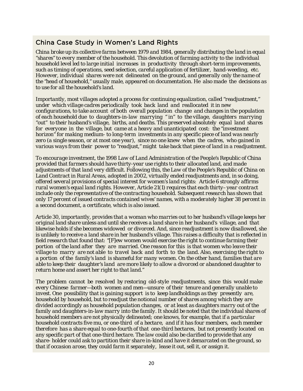# China Case Study in Women's Land Rights

*China broke up its collective farms between 1979 and 1984, generally distributing the land in equal "shares" to every member of the household. This devolution of farming activity to the individual household level led to large initial increases in productivity through short-term improvements, such as timing of operations, seed selection, careful application of fertilizer, hand-weeding, etc. However, individual shares were not delineated on the ground, and generally only the name of the "head of household," usually male, appeared on documentation. He also made the decisions as to use for all the household's land.*

*Importantly, most villages adopted a process for continuing equalization, called "readjustment," under which village cadres periodically took back land and reallocated it in new configurations, to take account of both overall population change and changes in the population of each household due to daughters-in-law marrying " in" to the village, daughters marrying "out" to their husband's village, births, and deaths. This preserved absolutely equal land shares for everyone in the village, but came at a heavy and unanticipated cost: the "investment horizon" for making medium- to long-term investments in any specific piece of land was nearly zero (a single season, or at most one year), since no one knew when the cadres, who gained in various ways from their power to "readjust," might take back that piece of land in a readjustment.*

*To encourage investment, the 1998 Law of Land Administration of the People's Republic of China provided that farmers should have thirty-year use rights to their allocated land, and made adjustments of that land very difficult. Following this, the Law of the People's Republic of China on Land Contract in Rural Areas, adopted in 2002, virtually ended readjustments and, in so doing, offered several provisions of special interest for women's land rights: Article 6 strongly affirms rural women's equal land rights. However, Article 21(1) requires that each thirty–year contract include only the representative of the contracting household. Subsequent research has shown that only 17 percent of issued contracts contained wives' names, with a moderately higher 38 percent in a second document, a certificate, which is also issued.*

*Article 30, importantly, provides that a woman who marries out to her husband's village keeps her original land share unless and until she receives a land share in her husband's village, and that likewise holds if she becomes widowed or divorced. And, since readjustment is now disallowed, she is unlikely to receive a land share in her husband's village. This raises a difficulty that is reflected in field research that found that: "[F]ew women would exercise the right to continue farming their portion of the land after they are married. One reason for this is that women who leave their village to marry are not able to travel back and forth to the land. Also, exercising the right to a portion of the family's land is shameful for many women. On the other hand, families that are able to keep their daughter's land are more likely to allow a divorced or abandoned daughter to return home and assert her right to that land."*

*The problem cannot be resolved by restoring old-style readjustments, since this would make every Chinese farmer—both women and men—unsure of their tenure and generally unable to invest. One possibility that is gaining support is to keep landholdings as they presently are, household by household, but to readjust the notional number of shares among which they are divided accordingly as household population changes, or at least as daughters marry out of the family and daughters-in-law marry into the family. It should be noted that the individual shares of household members are not physically delineated; one knows, for example, that if a particular household contracts five mu, or one-third of a hectare, and if it has four members, each member therefore has a share equal to one-fourth of that one-third hectares, but not presently located on any specific part of that one-third hectare. The law could also be clarified to provide that any share- holder could ask to partition their share in-kind and have it demarcated on the ground, so that if occasion arose, they could farm it separately, lease it out, sell it, or assign it.*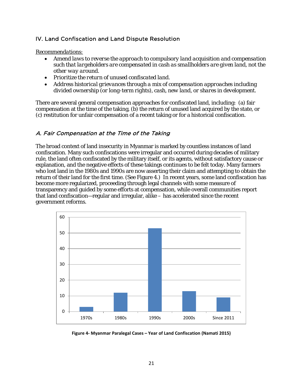# <span id="page-22-0"></span>IV. Land Confiscation and Land Dispute Resolution

*Recommendations:* 

- *Amend laws to reverse the approach to compulsory land acquisition and compensation such that largeholders are compensated in cash as smallholders are given land, not the other way around.*
- *Prioritize the return of unused confiscated land.*
- *Address historical grievances through a mix of compensation approaches including divided ownership (or long-term rights), cash, new land, or shares in development.*

There are several general compensation approaches for confiscated land, including: (a) fair compensation at the time of the taking, (b) the return of unused land acquired by the state, or (c) restitution for unfair compensation of a recent taking or for a historical confiscation.

# <span id="page-22-1"></span>A. Fair Compensation at the Time of the Taking

The broad context of land insecurity in Myanmar is marked by countless instances of land confiscation. Many such confiscations were irregular and occurred during decades of military rule, the land often confiscated by the military itself, or its agents, without satisfactory cause or explanation, and the negative effects of these takings continues to be felt today. Many farmers who lost land in the 1980s and 1990s are now asserting their claim and attempting to obtain the return of their land for the first time. (See [Figure 4.](#page-22-2)) In recent years, some land confiscation has become more regularized, proceeding through legal channels with some measure of transparency and guided by some efforts at compensation, while overall communities report that land confiscation—regular and irregular, alike – has accelerated since the recent government reforms.



<span id="page-22-2"></span>**Figure 4- Myanmar Paralegal Cases – Year of Land Confiscation (Namati 2015)**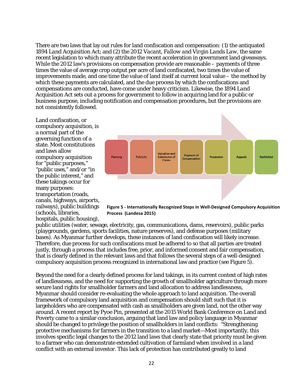There are two laws that lay out rules for land confiscation and compensation: (1) the antiquated 1894 *Land Acquisition Act*; and (2) the 2012 *Vacant, Fallow and Virgin Lands Law,* the same recent legislation to which many attribute the recent acceleration in government land giveaways. While the 2012 law's provisions on compensation provide are reasonable – payments of three times the value of average crop output per acre of land confiscated, two times the value of improvements made, and one time the value of land itself at current local value – the method by which these payments are calculated, and the due process by which the confiscations and compensations are conducted, have come under heavy criticism. Likewise, the 1894 *Land Acquisition Act* sets out a process for government to follow in acquiring land for a public or business purpose, including notification and compensation procedures, but the provisions are not consistently followed.

Land confiscation, or compulsory acquisition, is a normal part of the governing function of a state. Most constitutions and laws allow compulsory acquisition for "public purposes," "public uses," and/or "in the public interest," and these takings occur for many purposes: transportation (roads, canals, highways, airports, railways), public buildings (schools, libraries, hospitals, public housing),



<span id="page-23-0"></span>**Figure 5 - Internationally Recognized Steps in Well-Designed Compulsory Acquisition Process (Landesa 2015)**

public utilities (water, sewage, electricity, gas, communications, dams, reservoirs), public parks (playgrounds, gardens, sports facilities, nature preserves), and defense purposes (military bases). As Myanmar further develops, these instances of land confiscation will likely increase. Therefore, due process for such confiscations must be adhered to so that all parties are treated justly, through a process that includes free, prior, and informed consent and fair compensation, that is clearly defined in the relevant laws and that follows the several steps of a well-designed compulsory acquisition process recognized in international law and practice (see [Figure 5\)](#page-23-0).

Beyond the need for a clearly defined process for land takings, in its current context of high rates of landlessness, and the need for supporting the growth of smallholder agriculture through more secure land rights for smallholder farmers and land allocation to address landlessness, Myanmar should consider re-evaluating the whole approach to land acquisition. The overall framework of compulsory land acquisition and compensation should shift such that it is largeholders who are compensated with cash as smallholders are given land, not the other way around. A recent report by Pyoe Pin, presented at the 2015 World Bank Conference on Land and Poverty came to a similar conclusion, arguing that land law and policy language in Myanmar should be changed to privilege the position of smallholders in land conflicts: "Strengthening protective mechanisms for farmers in the transition to a land market—Most importantly, this involves specific legal changes to the 2012 land laws that clearly state that priority must be given to a farmer who can demonstrate extended cultivation of farmland when involved in a land conflict with an external investor. This lack of protection has contributed greatly to land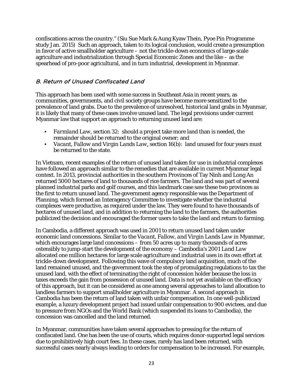confiscations across the country." (Siu Sue Mark & Aung Kyaw Thein, Pyoe Pin Programme study Jan. 2015) Such an approach, taken to its logical conclusion, would create a presumption in favor of active smallholder agriculture – not the trickle-down economics of large-scale agriculture and industrialization through Special Economic Zones and the like – as the spearhead of pro-poor agricultural, and in turn industrial, development in Myanmar.

# <span id="page-24-0"></span>B. Return of Unused Confiscated Land

This approach has been used with some success in Southeast Asia in recent years, as communities, governments, and civil society groups have become more sensitized to the prevalence of land grabs. Due to the prevalence of unresolved, historical land grabs in Myanmar, it is likely that many of these cases involve unused land. The legal provisions under current Myanmar law that support an approach to returning unused land are:

- *Farmland Law*, section 32: should a project take more land than is needed, the remainder should be returned to the original owner; and
- *Vacant, Fallow and Virgin Lands Law*, section 16(b): land unused for four years must be returned to the state.

In Vietnam, recent examples of the return of unused land taken for use in industrial complexes have followed an approach similar to the remedies that are available in current Myanmar legal context. In 2013, provincial authorities in the southern Provinces of Tay Ninh and Long An returned 5000 hectares of land to thousands of rice farmers. The land and was part of several planned industrial parks and golf courses, and this landmark case saw these two provinces as the first to return unused land. The government agency responsible was the Department of Planning, which formed an Interagency Committee to investigate whether the industrial complexes were productive, as required under the law. They were found to have thousands of hectares of unused land, and in addition to returning the land to the farmers, the authorities publicized the decision and encouraged the former users to take the land and return to farming.

In Cambodia, a different approach was used in 2001 to return unused land taken under economic land concessions. Similar to the *Vacant, Fallow, and Virgin Lands Law* in Myanmar, which encourages large land concessions – from 50 acres up to many thousands of acres ostensibly to jump-start the development of the economy – Cambodia's 2001 *Land Law* allocated one million hectares for large scale agriculture and industrial uses in its own effort at trickle-down development. Following this wave of compulsory land acquisition, much of the land remained unused, and the government took the step of promulgating regulations to tax the unused land, with the effect of terminating the right of concession holder because the loss in taxes exceeds the gain from possession of unused land. Data is not yet available on the efficacy of this approach, but it can be considered as one among several approaches to land allocation to landless farmers to support smallholder agriculture in Myanmar. A second approach in Cambodia has been the return of land taken with unfair compensation. In one well-publicized example, a luxury development project had issued unfair compensation to 900 evictees, and due to pressure from NGOs and the World Bank (which suspended its loans to Cambodia), the concession was cancelled and the land returned.

In Myanmar, communities have taken several approaches to pressing for the return of confiscated land. One has been the use of courts, which requires donor-supported legal services due to prohibitively high court fees. In these cases, rarely has land been returned, with successful cases nearly always leading to orders for compensation to be increased. For example,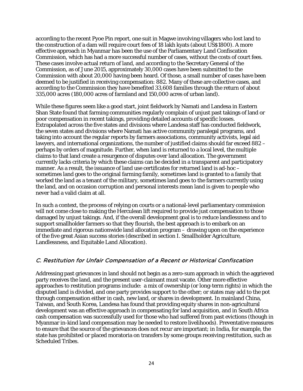according to the recent Pyoe Pin report, one suit in Magwe involving villagers who lost land to the construction of a dam will require court fees of 18 lakh kyats (about US\$1800). A more effective approach in Myanmar has been the use of the Parliamentary Land Confiscation Commission, which has had a more successful number of cases, without the costs of court fees. These cases involve actual return of land, and according to the Secretary General of the Commission, as of June 2015, approximately 30,000 cases have been submitted to the Commission with about 20,000 having been heard. Of those, a small number of cases have been deemed to be justified in receiving compensation: 882. Many of these are collective cases, and according to the Commission they have benefited 33,608 families through the return of about 335,000 acres (180,000 acres of farmland and 150,000 acres of urban land).

While these figures seem like a good start, joint fieldwork by Namati and Landesa in Eastern Shan State found that farming communities regularly complain of unjust past takings of land or poor compensation in recent takings, providing detailed accounts of specific losses. Extrapolated across the five states and divisions where Landesa staff has conducted fieldwork, the seven states and divisions where Namati has active community paralegal programs, and taking into account the regular reports by farmers associations, community activists, legal aid lawyers, and international organizations, the number of justified claims should far exceed 882 – perhaps by orders of magnitude. Further, when land is returned to a local level, the multiple claims to that land create a resurgence of disputes over land allocation. The government currently lacks criteria by which these claims can be decided in a transparent and participatory manner. As a result, the issuance of land use certificates for returned land is ad-hoc – sometimes land goes to the original farming family, sometimes land is granted to a family that worked the land as a tenant of the military, sometimes land goes to the farmers currently using the land, and on occasion corruption and personal interests mean land is given to people who never had a valid claim at all.

In such a context, the process of relying on courts or a national-level parliamentary commission will not come close to making the Herculean lift required to provide just compensation to those damaged by unjust takings. And, if the overall development goal is to reduce landlessness and to support smallholder farmers so that they flourish, the best approach is to embark on an immediate and rigorous nationwide land allocation program – drawing upon on the experience of the five great Asian success stories (described in sectio[n I. Smallholder Agriculture,](#page-5-0)  [Landlessness, and Equitable Land Allocation\)](#page-5-0).

# <span id="page-25-0"></span>C. Restitution for Unfair Compensation of a Recent or Historical Confiscation

Addressing past grievances in land should not begin as a zero-sum approach in which the aggrieved party receives the land, and the present user-claimant must vacate. Other more effective approaches to restitution programs include: a mix of ownership (or long-term rights) in which the disputed land is divided, and one party provides support to the other; or states may add to the pot through compensation either in cash, new land, or shares in development. In mainland China, Taiwan, and South Korea, Landesa has found that providing equity shares in non-agricultural development was an effective approach in compensating for land acquisition, and in South Africa cash compensation was successfully used for those who had suffered from past evictions (though in Myanmar in-kind land compensation may be needed to restore livelihoods). Preventative measures to ensure that the source of the grievances does not recur are important; in India, for example, the state has prohibited or placed moratoria on transfers by some groups receiving restitution, such as Scheduled Tribes.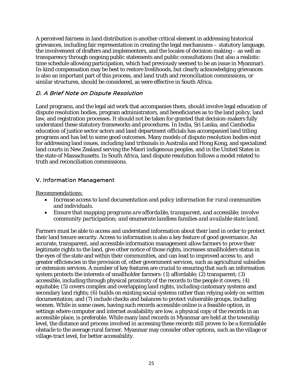A perceived fairness in land distribution is another critical element in addressing historical grievances, including fair representation in creating the legal mechanisms – statutory language, the involvement of drafters and implementers, and the locales of decision-making – as well as transparency through ongoing public statements and public consultations (but also a realistic time schedule allowing participation, which had previously seemed to be an issue in Myanmar). In-kind compensation may be best to restore livelihoods, but clearly acknowledging grievances is also an important part of this process, and land truth and reconciliation commissions, or similar structures, should be considered, as were effective in South Africa.

# <span id="page-26-0"></span>D. A Brief Note on Dispute Resolution

Land programs, and the legal aid work that accompanies them, should involve legal education of dispute resolution bodies, program administrators, and beneficiaries as to the land policy, land law, and registration processes. It should not be taken for granted that decision-makers fully understand these statutory frameworks and procedures. In India, Sri Lanka, and Cambodia education of justice sector actors and land department officials has accompanied land titling programs and has led to some good outcomes. Many models of dispute resolution bodies exist for addressing land issues, including land tribunals in Australia and Hong Kong, and specialized land courts in New Zealand serving the Maori indigenous peoples, and in the United States in the state of Massachusetts. In South Africa, land dispute resolution follows a model related to truth and reconciliation commissions.

# <span id="page-26-1"></span>V. Information Management

#### *Recommendations:*

- *Increase access to land documentation and policy information for rural communities and individuals.*
- *Ensure that mapping programs are affordable, transparent, and accessible; involve community participation; and enumerate landless families and available state land.*

Farmers must be able to access and understand information about their land in order to protect their land tenure security. Access to information is also a key feature of good governance. An accurate, transparent, and accessible information management allow farmers to prove their legitimate rights to the land, give other notice of those rights, increases smallholders status in the eyes of the state and within their communities, and can lead to improved access to, and greater efficiencies in the provision of, other government services, such as agricultural subsidies or extension services. A number of key features are crucial to ensuring that such an information system protects the interests of smallholder farmers: (1) affordable; (2) transparent; (3) accessible, including through physical proximity of the records to the people it covers; (4) equitable; (5) covers complex and overlapping land rights, including customary systems and secondary land rights; (6) builds on existing social systems rather than relying solely on written documentation; and (7) include checks and balances to protect vulnerable groups, including women. While in some cases, having such records accessible online is a feasible option, in settings where computer and internet availability are low, a physical copy of the records in an accessible place, is preferable. While many land records in Myanmar are held at the township level, the distance and process involved in accessing these records still proves to be a formidable obstacle to the average rural farmer. Myanmar may consider other options, such as the village or village-tract level, for better accessibility.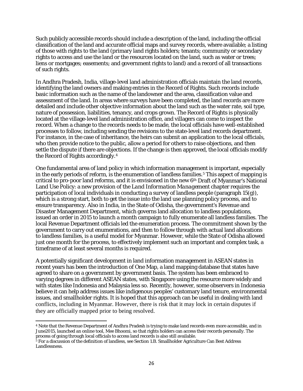Such publicly accessible records should include a description of the land, including the official classification of the land and accurate official maps and survey records, where available; a listing of those with rights to the land (primary land rights holders; tenants; community or secondary rights to access and use the land or the resources located on the land, such as water or trees; liens or mortgages; easements; and government rights to land) and a record of all transactions of such rights.

In Andhra Pradesh, India, village-level land administration officials maintain the land records, identifying the land owners and making entries in the Record of Rights. Such records include basic information such as the name of the landowner and the area, classification value and assessment of the land. In areas where surveys have been completed, the land records are more detailed and include other objective information about the land such as the water rate, soil type, nature of possession, liabilities, tenancy, and crops grown. The Record of Rights is physically located at the village-level land administration office, and villagers can come to inspect the record. When a change to the records needs to be made, the local officials have well-established processes to follow, including sending the revisions to the state-level land records department. For instance, in the case of inheritance, the heirs can submit an application to the local officials, who then provide notice to the public, allow a period for others to raise objections, and then settle the dispute if there are objections. If the change is then approved, the local officials modify the Record of Rights accordingly.[4](#page-27-0)

One fundamental area of land policy in which information management is important, especially in the early periods of reform, is the enumeration of landless families.<sup>[5](#page-27-1)</sup> This aspect of mapping is critical to pro-poor land reforms, and it is envisioned in the new 6th Draft of Myanmar's National Land Use Policy: a new provision of the *Land Information Management* chapter requires the participation of local individuals in conducting a survey of landless people (paragraph 15(g)), which is a strong start, both to get the issue into the land use planning policy process, and to ensure transparency. Also in India, in the State of Odisha, the government's Revenue and Disaster Management Department, which governs land allocation to landless populations, issued an order in 2015 to launch a month campaign to fully enumerate all landless families. The local Revenue Department officials led the enumeration process. The commitment shown by the government to carry out enumerations, and then to follow through with actual land allocations to landless families, is a useful model for Myanmar. However, while the State of Odisha allowed just one month for the process, to effectively implement such an important and complex task, a timeframe of at least several months is required.

A potentially significant development in land information management in ASEAN states in recent years has been the introduction of One Map, a land mapping database that states have agreed to share on a government by government basis. The system has been embraced to varying degrees in different ASEAN states, with Singapore using the resource more widely and with states like Indonesia and Malaysia less so. Recently, however, some observers in Indonesia believe it can help address issues like indigenous peoples' customary land tenure, environmental issues, and smallholder rights. It is hoped that this approach can be useful in dealing with land conflicts, including in Myanmar. However, there is risk that it may lock in certain disputes if they are officially mapped prior to being resolved.

<span id="page-27-0"></span> $\overline{\phantom{a}}$ <sup>4</sup> Note that the Revenue Department of Andhra Pradesh is trying to make land records even more accessible, and in June2015, launched an online tool, Mee Bhoomi, so that rights holders can access their records personally. The process of going through local officials to access land records is also still available.<br><sup>5</sup> For a discussion of the definition of landless, see Section 1.B. Smallholder Agriculture Can Best Address

<span id="page-27-1"></span>[Landlessness.](#page-9-0)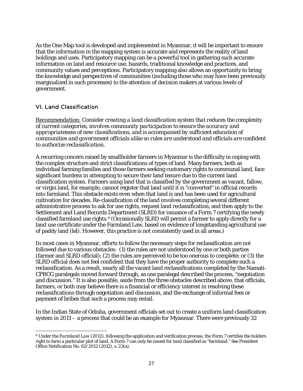As the One Map tool is developed and implemented in Myanmar, it will be important to ensure that the information in the mapping system is accurate and represents the reality of land holdings and uses. Participatory mapping can be a powerful tool in gathering such accurate information on land and resource use, hazards, traditional knowledge and practices, and community values and perceptions. Participatory mapping also allows an opportunity to bring the knowledge and perspectives of communities (including those who may have been previously marginalized in such processes) to the attention of decision makers at various levels of government.

# <span id="page-28-0"></span>VI. Land Classification

l

*Recommendation: Consider creating a land classification system that reduces the complexity of current categories, involves community participation to ensure the accuracy and appropriateness of new classifications, and is accompanied by sufficient education of communities and government officials alike so rules are understood and officials are confident to authorize reclassification.* 

A recurring concern raised by smallholder farmers in Myanmar is the difficulty in coping with the complex structure and strict classifications of types of land. Many farmers, both as individual farming families and those farmers seeking customary rights to communal land, face significant burdens in attempting to secure their land tenure due to the current land classification system. Farmers using land that is classified by the government as vacant, fallow, or virgin land, for example, cannot register that land until it is "converted" in official records into farmland. This obstacle exists even when that land is and has been used for agricultural cultivation for decades. Re-classification of the land involves completing several different administrative process to ask for use rights, request land reclassification, and then apply to the Settlement and Land Records Department (SLRD) for issuance of a Form 7 certifying the newly classified farmland use rights.[6](#page-28-1) (Occasionally SLRD will permit a farmer to apply directly for a land use certificate under the Farmland Law, based on evidence of longstanding agricultural use of paddy land (*lel*). However, this practice is not consistently used in all areas.)

In most cases in Myanmar, efforts to follow the necessary steps for reclassification are not followed due to various obstacles: (1) the rules are not understood by one or both parties (farmer and SLRD official); (2) the rules are perceived to be too onerous to complete; or (3) the SLRD official does not feel confident that they have the proper authority to complete such a reclassification. As a result, nearly all the vacant land reclassifications completed by the Namati-CPRCG paralegals moved forward through, as one paralegal described the process, "negotiation and discussion." It is also possible, aside from the three obstacles described above, that officials, farmers, or both may believe there is a financial or efficiency interest in resolving these reclassifications through negotiation and discussion, and the exchange of informal fees or payment of bribes that such a process may entail.

In the Indian State of Odisha, government officials set out to create a uniform land classification system in 2011 – a process that could be an example for Myanmar. There were previously 32

<span id="page-28-1"></span><sup>6</sup> Under the *Farmland Law* (2012), following the application and verification process, the Form 7 certifies the holders right to farm a particular plot of land. A Form 7 can only be issued for land classified as "farmland." See President Office Notification No. 62/2012 (2012), s. 23(a).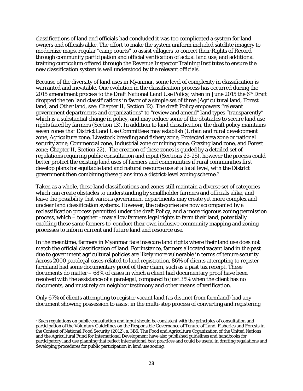classifications of land and officials had concluded it was too complicated a system for land owners and officials alike. The effort to make the system uniform included satellite imagery to modernize maps, regular "camp courts" to assist villagers to correct their Rights of Record through community participation and official verification of actual land use, and additional training curriculum offered through the Revenue Inspector Training Institutes to ensure the new classification system is well understood by the relevant officials.

Because of the diversity of land uses in Myanmar, some level of complexity in classification is warranted and inevitable. One evolution in the classification process has occurred during the 2015 amendment process to the Draft National Land Use Policy, when in June 2015 the 6th Draft dropped the ten land classifications in favor of a simple set of three (Agricultural land, Forest land, and Other land, see: Chapter II, Section 12). The draft Policy empowers "relevant government departments and organizations" to "review and amend" land types "transparently" which is a substantial change in policy, and may reduce some of the obstacles to secure land use rights faced by farmers (Section 13). In addition to land classification, the draft policy maintains seven zones that District Land Use Committees may establish (Urban and rural development zone, Agriculture zone, Livestock breeding and fishery zone, Protected area zone or national security zone, Commercial zone, Industrial zone or mining zone, Grazing land zone, and Forest zone; Chapter II, Section 22). The creation of these zones is guided by a detailed set of regulations requiring public consultation and input (Sections 23-25), however the process could better protect the existing land uses of farmers and communities if rural communities first develop plans for equitable land and natural resource use at a local level, with the District government then combining these plans into a district-level zoning scheme.[7](#page-29-0)

Taken as a whole, these land classifications and zones still maintain a diverse set of categories which can create obstacles to understanding by smallholder farmers and officials alike, and leave the possibility that various government departments may create yet more complex and unclear land classification systems. However, the categories are now accompanied by a reclassification process permitted under the draft Policy, and a more rigorous zoning permission process, which – together –may allow farmers legal rights to farm their land, potentially enabling these same farmers to conduct their own inclusive community mapping and zoning processes to inform current and future land and resource use.

In the meantime, farmers in Myanmar face insecure land rights where their land use does not match the official classification of land. For instance, farmers allocated vacant land in the past due to government agricultural policies are likely more vulnerable in terms of tenure security. Across 2000 paralegal cases related to land registration, 86% of clients attempting to register farmland had some documentary proof of their claim, such as a past tax receipt. These documents do matter – 68% of cases in which a client had documentary proof have been resolved with the assistance of a paralegal, compared to just 35% when the client has no documents, and must rely on neighbor testimony and other means of verification.

Only 67% of clients attempting to register vacant land (as distinct from farmland) had any document showing possession to assist in the multi-step process of converting and registering

<span id="page-29-0"></span>l <sup>7</sup> Such regulations on public consultation and input should be consistent with the principles of consultation and participation of the Voluntary Guidelines on the Responsible Governance of Tenure of Land, Fisheries and Forests in the Context of National Food Security (2012), s. 3B6. The Food and Agriculture Organization of the United Nations and the Agricultural Fund for International Development have also published guidelines and handbooks for participatory land use planning that reflect international best practices and could be useful in drafting regulations and developing procedures for public participation in land use zoning.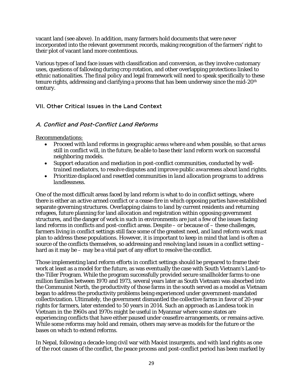vacant land (see above). In addition, many farmers hold documents that were never incorporated into the relevant government records, making recognition of the farmers' right to their plot of vacant land more contentious.

Various types of land face issues with classification and conversion, as they involve customary uses, questions of fallowing during crop rotation, and other overlapping protections linked to ethnic nationalities. The final policy and legal framework will need to speak specifically to these tenure rights, addressing and clarifying a process that has been underway since the mid-20th century.

# <span id="page-30-0"></span>VII. Other Critical Issues in the Land Context

#### <span id="page-30-1"></span>A. Conflict and Post-Conflict Land Reforms

#### *Recommendations:*

- *Proceed with land reforms in geographic areas where and when possible, so that areas still in conflict will, in the future, be able to base their land reform work on successful neighboring models.*
- *Support education and mediation in post-conflict communities, conducted by welltrained mediators, to resolve disputes and improve public awareness about land rights.*
- *Prioritize displaced and resettled communities in land allocation programs to address landlessness.*

One of the most difficult areas faced by land reform is what to do in conflict settings, where there is either an active armed conflict or a cease-fire in which opposing parties have established separate governing structures. Overlapping claims to land by current residents and returning refugees, future planning for land allocation and registration within opposing government structures, and the danger of work in such in environments are just a few of the issues facing land reforms in conflicts and post-conflict areas. Despite  $-$  or because of  $-$  these challenges, farmers living in conflict settings still face some of the greatest need, and land reform work must plan to address these populations. However, it is important to keep in mind that land is often a source of the conflicts themselves, so addressing and resolving land issues in a conflict setting – hard as it may be – may be a vital part of any effort to resolve the conflict.

Those implementing land reform efforts in conflict settings should be prepared to frame their work at least as a model for the future, as was eventually the case with South Vietnam's Land-tothe-Tiller Program. While the program successfully provided secure smallholder farms to one million families between 1970 and 1973, several years later as South Vietnam was absorbed into the Communist North, the productivity of those farms in the south served as a model as Vietnam began to address the productivity problems being experienced under government-mandated collectivization. Ultimately, the government dismantled the collective farms in favor of 20-year rights for farmers, later extended to 50 years in 2014. Such an approach as Landesa took in Vietnam in the 1960s and 1970s might be useful in Myanmar where some states are experiencing conflicts that have either paused under ceasefire arrangements, or remains active. While some reforms may hold and remain, others may serve as models for the future or the bases on which to extend reforms.

In Nepal, following a decade-long civil war with Maoist insurgents, and with land rights as one of the root causes of the conflict, the peace process and post-conflict period has been marked by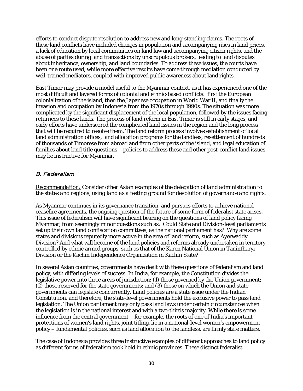efforts to conduct dispute resolution to address new and long-standing claims. The roots of these land conflicts have included changes in population and accompanying rises in land prices, a lack of education by local communities on land law and accompanying citizen rights, and the abuse of parties during land transactions by unscrupulous brokers, leading to land disputes about inheritance, ownership, and land boundaries. To address these issues, the courts have been one route used, while more effective results have come through mediation conducted by well-trained mediators, coupled with improved public awareness about land rights.

East Timor may provide a model useful to the Myanmar context, as it has experienced one of the most difficult and layered forms of colonial and ethnic-based conflicts: first the European colonialization of the island, then the Japanese occupation in World War II, and finally the invasion and occupation by Indonesia from the 1970s through 1990s. The situation was more complicated by the significant displacement of the local population, followed by the issues facing returnees to these lands. The process of land reform in East Timor is still in early stages, and early efforts have underscored the complicated land issues in the region and the long process that will be required to resolve them. The land reform process involves establishment of local land administration offices, land allocation programs for the landless, resettlement of hundreds of thousands of Timorese from abroad and from other parts of the island, and legal education of families about land title questions – policies to address these and other post-conflict land issues may be instructive for Myanmar.

# <span id="page-31-0"></span>B. Federalism

#### *Recommendation: Consider other Asian examples of the delegation of land administration to the states and regions, using land as a testing ground for devolution of governance and rights.*

As Myanmar continues in its governance transition, and pursues efforts to achieve national ceasefire agreements, the ongoing question of the future of some form of federalist state arises. This issue of federalism will have significant bearing on the questions of land policy facing Myanmar, from seemingly minor questions such as: Could State and Division-level parliaments set up their own land confiscation committees, as the national parliament has? Why are some states and divisions reputedly more active in the area of land reform, such as Ayerwaddy Division? And what will become of the land policies and reforms already undertaken in territory controlled by ethnic armed groups, such as that of the Karen National Union in Tanintharyi Division or the Kachin Independence Organization in Kachin State?

In several Asian countries, governments have dealt with these questions of federalism and land policy, with differing levels of success. In India, for example, the Constitution divides the legislative power into three areas of jurisdiction: (1) those governed by the Union government; (2) those reserved for the state governments; and (3) those on which the Union and state governments can legislate concurrently. Land policies are a state issue under the Indian Constitution, and therefore, the state-level governments hold the exclusive power to pass land legislation. The Union parliament may only pass land laws under certain circumstances when the legislation is in the national interest and with a two-thirds majority. While there is some influence from the central government – for example, the roots of one of India's important protections of women's land rights, joint titling, lie in a national-level women's empowerment policy – fundamental policies, such as land allocation to the landless, are firmly state matters.

The case of Indonesia provides three instructive examples of different approaches to land policy as different forms of federalism took hold in ethnic provinces. These distinct federalist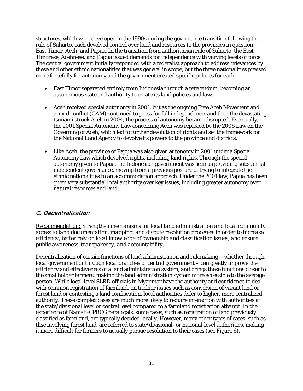structures, which were developed in the 1990s during the governance transition following the rule of Suharto, each devolved control over land and resources to the provinces in question: East Timor, Aceh, and Papua. In the transition from authoritarian rule of Suharto, the East Timorese, Acehnese, and Papua issued demands for independence with varying levels of force. The central government initially responded with a federalist approach to address grievances by these and other ethnic nationalities that was general in scope, but the three nationalities pressed more forcefully for autonomy and the government created specific policies for each.

- East Timor separated entirely from Indonesia through a referendum, becoming an autonomous state and authority to create its land policies and laws.
- Aceh received special autonomy in 2001, but as the ongoing Free Aceh Movement and armed conflict (GAM) continued to press for full independence, and then the devastating tsunami struck Aceh in 2004, the process of autonomy became disrupted. Eventually, the 2001 Special Autonomy Law concerning Aceh was replaced by the 2006 Law on the Governing of Aceh, which led to further devolution of rights and set the framework for the National Land Agency to devolve its powers to the province and districts.
- Like Aceh, the province of Papua was also given autonomy in 2001 under a Special Autonomy Law which devolved rights, including land rights. Through the special autonomy given to Papua, the Indonesian government was seen as providing substantial independent governance, moving from a previous posture of trying to integrate the ethnic nationalities to an accommodation approach. Under the 2001 law, Papua has been given very substantial local authority over key issues, including greater autonomy over natural resources and land.

# <span id="page-32-0"></span>C. Decentralization

*Recommendation: Strengthen mechanisms for local land administration and local community access to land documentation, mapping, and dispute resolution processes in order to increase efficiency, better rely on local knowledge of ownership and classification issues, and ensure public awareness, transparency, and accountability.*

Decentralization of certain functions of land administration and rulemaking – whether through local government or through local branches of central government – can greatly improve the efficiency and effectiveness of a land administration system, and brings these functions closer to the smallholder farmers, making the land administration system more accessible to the average person. While local-level SLRD officials in Myanmar have the authority and confidence to deal with common registration of farmland, on trickier issues such as conversion of vacant land or forest land or contesting a land confiscation, local authorities defer to higher, more centralized authority. These complex cases are much more likely to require interaction with authorities at the state/divisional level or central level compared to a farmland registration attempt. In the experience of Namati-CPRCG paralegals, some cases, such as registration of land previously classified as farmland, are typically decided locally. However, many other types of cases, such as thse involving forest land, are referred to state/divisional- or national-level authorities, making it more difficult for farmers to actually pursue resolution to their cases (see [Figure 6\)](#page-33-0).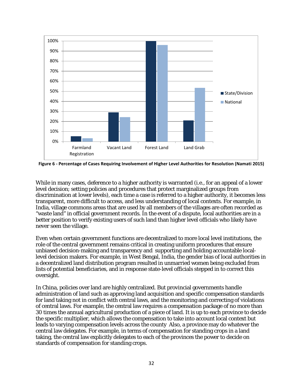

<span id="page-33-0"></span>**Figure 6 - Percentage of Cases Requiring Involvement of Higher Level Authorities for Resolution (Namati 2015)**

While in many cases, deference to a higher authority is warranted (i.e., for an appeal of a lower level decision; setting policies and procedures that protect marginalized groups from discrimination at lower levels), each time a case is referred to a higher authority, it becomes less transparent, more difficult to access, and less understanding of local contexts. For example, in India, village commons areas that are used by all members of the villages are often recorded as "waste land" in official government records. In the event of a dispute, local authorities are in a better position to verify existing users of such land than higher level officials who likely have never seen the village.

Even when certain government functions are decentralized to more local level institutions, the role of the central government remains critical in creating uniform procedures that ensure unbiased decision-making and transparency and supporting and holding accountable locallevel decision makers. For example, in West Bengal, India, the gender bias of local authorities in a decentralized land distribution program resulted in unmarried women being excluded from lists of potential beneficiaries, and in response state-level officials stepped in to correct this oversight.

In China, policies over land are highly centralized. But provincial governments handle administration of land such as approving land acquisition and specific compensation standards for land taking not in conflict with central laws, and the monitoring and correcting of violations of central laws. For example, the central law requires a compensation package of no more than 30 times the annual agricultural production of a piece of land. It is up to each province to decide the specific multiplier, which allows the compensation to take into account local context but leads to varying compensation levels across the county Also, a province may do whatever the central law delegates. For example, in terms of compensation for standing crops in a land taking, the central law explicitly delegates to each of the provinces the power to decide on standards of compensation for standing crops.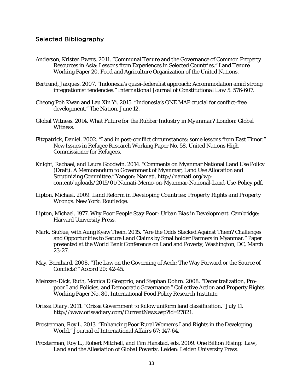#### <span id="page-34-0"></span>Selected Bibliography

- Anderson, Kristen Ewers. 2011. "Communal Tenure and the Governance of Common Property Resources in Asia: Lessons from Experiences in Selected Countries." Land Tenure Working Paper 20. Food and Agriculture Organization of the United Nations.
- Bertrand, Jacques. 2007. "Indonesia's quasi-federalist approach: Accommodation amid strong integrationist tendencies." *International Journal of Constitutional Law* 5: 576-607.
- Cheong Poh Kwan and Lau Xin Yi. 2015. "Indonesia's ONE MAP crucial for conflict-free development." *The Nation*, June 12.
- Global Witness. 2014. *What Future for the Rubber Industry in Myanmar?* London: Global Witness.
- Fitzpatrick, Daniel. 2002. "Land in post-conflict circumstances: some lessons from East Timor." New Issues in Refugee Research Working Paper No. 58. United Nations High Commissioner for Refugees.
- Knight, Rachael, and Laura Goodwin. 2014. "Comments on Myanmar National Land Use Policy (Draft): A Memorandum to Government of Myanmar, Land Use Allocation and Scrutinizing Committee." Yangon: Namati. http://namati.org/wpcontent/uploads/2015/01/Namati-Memo-on-Myanmar-National-Land-Use-Policy.pdf.
- Lipton, Michael. 2009. *Land Reform in Developing Countries: Property Rights and Property Wrongs*. New York: Routledge.
- Lipton, Michael. 1977. *Why Poor People Stay Poor: Urban Bias in Development*. Cambridge: Harvard University Press.
- Mark, SiuSue, with Aung Kyaw Thein. 2015. "Are the Odds Stacked Against Them? Challenges and Opportunities to Secure Land Claims by Smallholder Farmers in Myanmar." Paper presented at the World Bank Conference on Land and Poverty, Washington, DC, March 23-27.
- May, Bernhard. 2008. "The Law on the Governing of Aceh: The Way Forward or the Source of Conflicts?" *Accord* 20: 42-45.
- Meinzen-Dick, Ruth, Monica D Gregorio, and Stephan Dohrn. 2008. "Decentralization, Propoor Land Policies, and Democratic Governance." Collective Action and Property Rights Working Paper No. 80. International Food Policy Research Institute.
- *Orissa Diary*. 2011. "Orissa Government to follow uniform land classification." July 11. http://www.orissadiary.com/CurrentNews.asp?id=27821.
- Prosterman, Roy L. 2013. "Enhancing Poor Rural Women's Land Rights in the Developing World." *Journal of International Affairs* 67: 147-64.
- Prosterman, Roy L., Robert Mitchell, and Tim Hanstad, eds. 2009. *One Billion Rising: Law, Land and the Alleviation of Global Poverty*. Leiden: Leiden University Press.